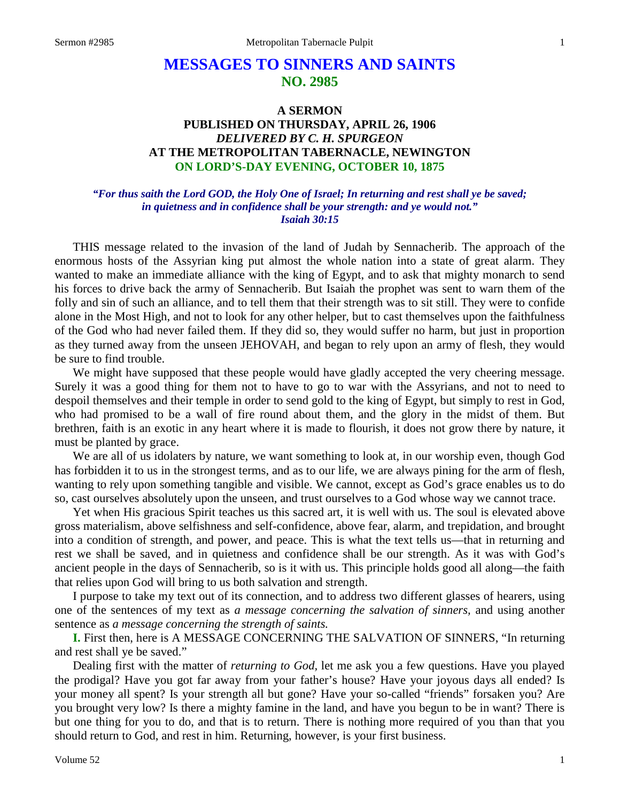# **MESSAGES TO SINNERS AND SAINTS NO. 2985**

### **A SERMON PUBLISHED ON THURSDAY, APRIL 26, 1906** *DELIVERED BY C. H. SPURGEON* **AT THE METROPOLITAN TABERNACLE, NEWINGTON ON LORD'S-DAY EVENING, OCTOBER 10, 1875**

#### *"For thus saith the Lord GOD, the Holy One of Israel; In returning and rest shall ye be saved; in quietness and in confidence shall be your strength: and ye would not." Isaiah 30:15*

THIS message related to the invasion of the land of Judah by Sennacherib. The approach of the enormous hosts of the Assyrian king put almost the whole nation into a state of great alarm. They wanted to make an immediate alliance with the king of Egypt, and to ask that mighty monarch to send his forces to drive back the army of Sennacherib. But Isaiah the prophet was sent to warn them of the folly and sin of such an alliance, and to tell them that their strength was to sit still. They were to confide alone in the Most High, and not to look for any other helper, but to cast themselves upon the faithfulness of the God who had never failed them. If they did so, they would suffer no harm, but just in proportion as they turned away from the unseen JEHOVAH, and began to rely upon an army of flesh, they would be sure to find trouble.

We might have supposed that these people would have gladly accepted the very cheering message. Surely it was a good thing for them not to have to go to war with the Assyrians, and not to need to despoil themselves and their temple in order to send gold to the king of Egypt, but simply to rest in God, who had promised to be a wall of fire round about them, and the glory in the midst of them. But brethren, faith is an exotic in any heart where it is made to flourish, it does not grow there by nature, it must be planted by grace.

We are all of us idolaters by nature, we want something to look at, in our worship even, though God has forbidden it to us in the strongest terms, and as to our life, we are always pining for the arm of flesh, wanting to rely upon something tangible and visible. We cannot, except as God's grace enables us to do so, cast ourselves absolutely upon the unseen, and trust ourselves to a God whose way we cannot trace.

Yet when His gracious Spirit teaches us this sacred art, it is well with us. The soul is elevated above gross materialism, above selfishness and self-confidence, above fear, alarm, and trepidation, and brought into a condition of strength, and power, and peace. This is what the text tells us—that in returning and rest we shall be saved, and in quietness and confidence shall be our strength. As it was with God's ancient people in the days of Sennacherib, so is it with us. This principle holds good all along—the faith that relies upon God will bring to us both salvation and strength.

I purpose to take my text out of its connection, and to address two different glasses of hearers, using one of the sentences of my text as *a message concerning the salvation of sinners,* and using another sentence as *a message concerning the strength of saints.*

**I.** First then, here is A MESSAGE CONCERNING THE SALVATION OF SINNERS, "In returning and rest shall ye be saved."

Dealing first with the matter of *returning to God,* let me ask you a few questions. Have you played the prodigal? Have you got far away from your father's house? Have your joyous days all ended? Is your money all spent? Is your strength all but gone? Have your so-called "friends" forsaken you? Are you brought very low? Is there a mighty famine in the land, and have you begun to be in want? There is but one thing for you to do, and that is to return. There is nothing more required of you than that you should return to God, and rest in him. Returning, however, is your first business.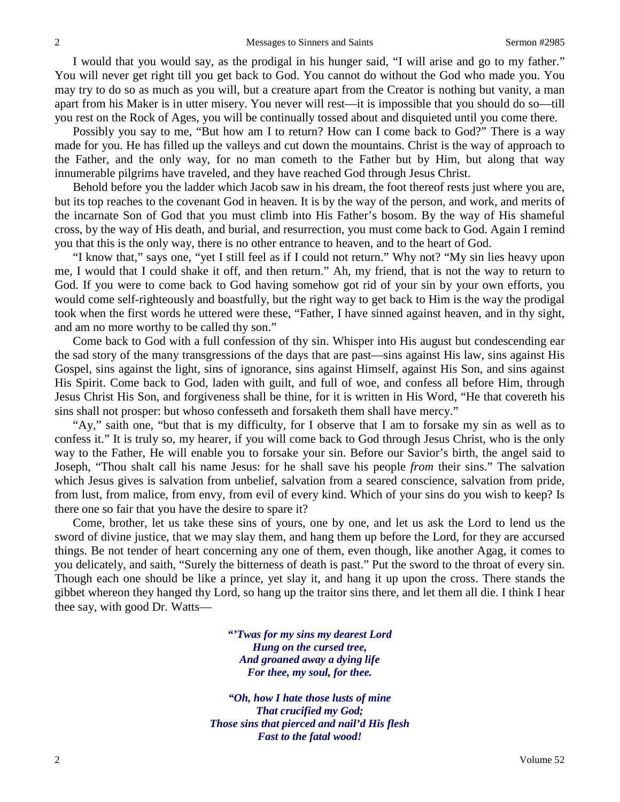I would that you would say, as the prodigal in his hunger said, "I will arise and go to my father." You will never get right till you get back to God. You cannot do without the God who made you. You may try to do so as much as you will, but a creature apart from the Creator is nothing but vanity, a man apart from his Maker is in utter misery. You never will rest—it is impossible that you should do so—till you rest on the Rock of Ages, you will be continually tossed about and disquieted until you come there.

Possibly you say to me, "But how am I to return? How can I come back to God?" There is a way made for you. He has filled up the valleys and cut down the mountains. Christ is the way of approach to the Father, and the only way, for no man cometh to the Father but by Him, but along that way innumerable pilgrims have traveled, and they have reached God through Jesus Christ.

Behold before you the ladder which Jacob saw in his dream, the foot thereof rests just where you are, but its top reaches to the covenant God in heaven. It is by the way of the person, and work, and merits of the incarnate Son of God that you must climb into His Father's bosom. By the way of His shameful cross, by the way of His death, and burial, and resurrection, you must come back to God. Again I remind you that this is the only way, there is no other entrance to heaven, and to the heart of God.

"I know that," says one, "yet I still feel as if I could not return." Why not? "My sin lies heavy upon me, I would that I could shake it off, and then return." Ah, my friend, that is not the way to return to God. If you were to come back to God having somehow got rid of your sin by your own efforts, you would come self-righteously and boastfully, but the right way to get back to Him is the way the prodigal took when the first words he uttered were these, "Father, I have sinned against heaven, and in thy sight, and am no more worthy to be called thy son."

Come back to God with a full confession of thy sin. Whisper into His august but condescending ear the sad story of the many transgressions of the days that are past—sins against His law, sins against His Gospel, sins against the light, sins of ignorance, sins against Himself, against His Son, and sins against His Spirit. Come back to God, laden with guilt, and full of woe, and confess all before Him, through Jesus Christ His Son, and forgiveness shall be thine, for it is written in His Word, "He that covereth his sins shall not prosper: but whoso confesseth and forsaketh them shall have mercy."

"Ay," saith one, "but that is my difficulty, for I observe that I am to forsake my sin as well as to confess it." It is truly so, my hearer, if you will come back to God through Jesus Christ, who is the only way to the Father, He will enable you to forsake your sin. Before our Savior's birth, the angel said to Joseph, "Thou shalt call his name Jesus: for he shall save his people *from* their sins." The salvation which Jesus gives is salvation from unbelief, salvation from a seared conscience, salvation from pride, from lust, from malice, from envy, from evil of every kind. Which of your sins do you wish to keep? Is there one so fair that you have the desire to spare it?

Come, brother, let us take these sins of yours, one by one, and let us ask the Lord to lend us the sword of divine justice, that we may slay them, and hang them up before the Lord, for they are accursed things. Be not tender of heart concerning any one of them, even though, like another Agag, it comes to you delicately, and saith, "Surely the bitterness of death is past." Put the sword to the throat of every sin. Though each one should be like a prince, yet slay it, and hang it up upon the cross. There stands the gibbet whereon they hanged thy Lord, so hang up the traitor sins there, and let them all die. I think I hear thee say, with good Dr. Watts—

> *"'Twas for my sins my dearest Lord Hung on the cursed tree, And groaned away a dying life For thee, my soul, for thee.*

*"Oh, how I hate those lusts of mine That crucified my God; Those sins that pierced and nail'd His flesh Fast to the fatal wood!*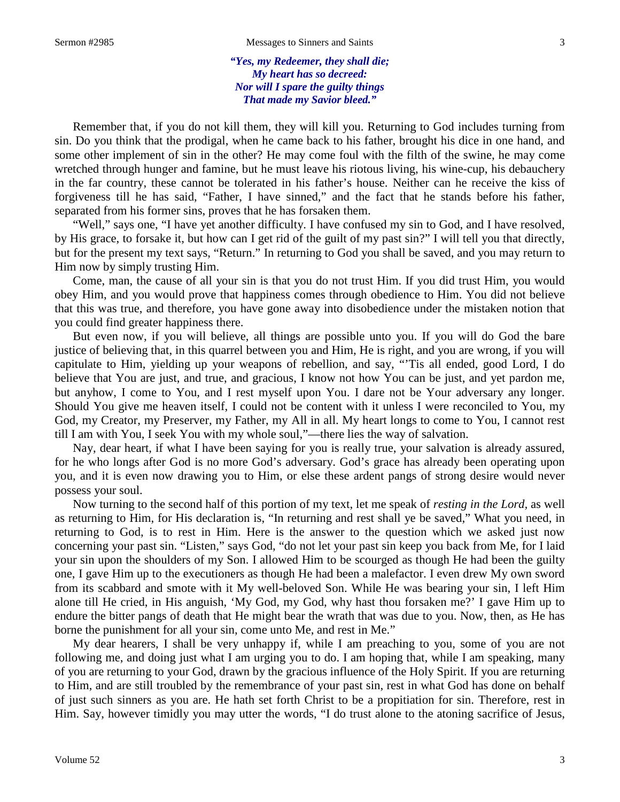*"Yes, my Redeemer, they shall die; My heart has so decreed: Nor will I spare the guilty things That made my Savior bleed."*

Remember that, if you do not kill them, they will kill you. Returning to God includes turning from sin. Do you think that the prodigal, when he came back to his father, brought his dice in one hand, and some other implement of sin in the other? He may come foul with the filth of the swine, he may come wretched through hunger and famine, but he must leave his riotous living, his wine-cup, his debauchery in the far country, these cannot be tolerated in his father's house. Neither can he receive the kiss of forgiveness till he has said, "Father, I have sinned," and the fact that he stands before his father, separated from his former sins, proves that he has forsaken them.

"Well," says one, "I have yet another difficulty. I have confused my sin to God, and I have resolved, by His grace, to forsake it, but how can I get rid of the guilt of my past sin?" I will tell you that directly, but for the present my text says, "Return." In returning to God you shall be saved, and you may return to Him now by simply trusting Him.

Come, man, the cause of all your sin is that you do not trust Him. If you did trust Him, you would obey Him, and you would prove that happiness comes through obedience to Him. You did not believe that this was true, and therefore, you have gone away into disobedience under the mistaken notion that you could find greater happiness there.

But even now, if you will believe, all things are possible unto you. If you will do God the bare justice of believing that, in this quarrel between you and Him, He is right, and you are wrong, if you will capitulate to Him, yielding up your weapons of rebellion, and say, "'Tis all ended, good Lord, I do believe that You are just, and true, and gracious, I know not how You can be just, and yet pardon me, but anyhow, I come to You, and I rest myself upon You. I dare not be Your adversary any longer. Should You give me heaven itself, I could not be content with it unless I were reconciled to You, my God, my Creator, my Preserver, my Father, my All in all. My heart longs to come to You, I cannot rest till I am with You, I seek You with my whole soul,"—there lies the way of salvation.

Nay, dear heart, if what I have been saying for you is really true, your salvation is already assured, for he who longs after God is no more God's adversary. God's grace has already been operating upon you, and it is even now drawing you to Him, or else these ardent pangs of strong desire would never possess your soul.

Now turning to the second half of this portion of my text, let me speak of *resting in the Lord,* as well as returning to Him, for His declaration is, "In returning and rest shall ye be saved," What you need, in returning to God, is to rest in Him. Here is the answer to the question which we asked just now concerning your past sin. "Listen," says God, "do not let your past sin keep you back from Me, for I laid your sin upon the shoulders of my Son. I allowed Him to be scourged as though He had been the guilty one, I gave Him up to the executioners as though He had been a malefactor. I even drew My own sword from its scabbard and smote with it My well-beloved Son. While He was bearing your sin, I left Him alone till He cried, in His anguish, 'My God, my God, why hast thou forsaken me?' I gave Him up to endure the bitter pangs of death that He might bear the wrath that was due to you. Now, then, as He has borne the punishment for all your sin, come unto Me, and rest in Me."

My dear hearers, I shall be very unhappy if, while I am preaching to you, some of you are not following me, and doing just what I am urging you to do. I am hoping that, while I am speaking, many of you are returning to your God, drawn by the gracious influence of the Holy Spirit. If you are returning to Him, and are still troubled by the remembrance of your past sin, rest in what God has done on behalf of just such sinners as you are. He hath set forth Christ to be a propitiation for sin. Therefore, rest in Him. Say, however timidly you may utter the words, "I do trust alone to the atoning sacrifice of Jesus,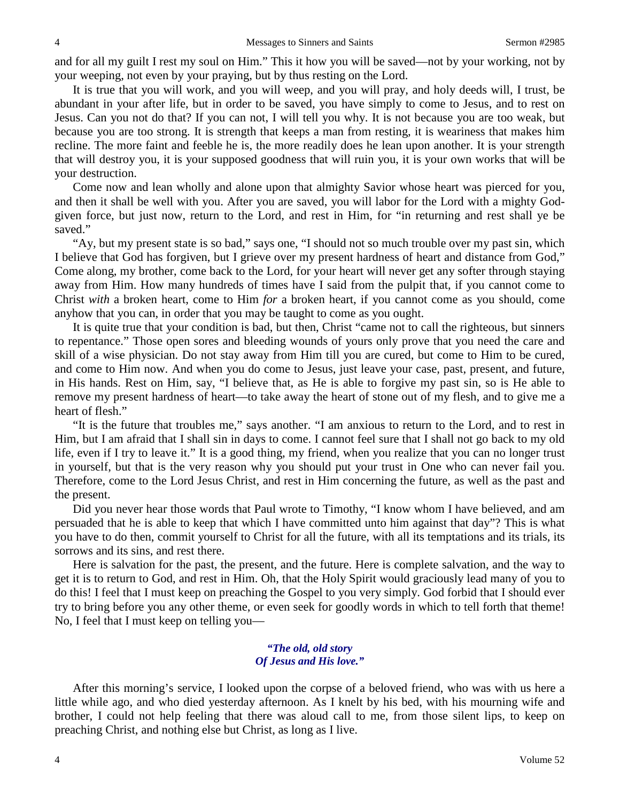and for all my guilt I rest my soul on Him." This it how you will be saved—not by your working, not by your weeping, not even by your praying, but by thus resting on the Lord.

It is true that you will work, and you will weep, and you will pray, and holy deeds will, I trust, be abundant in your after life, but in order to be saved, you have simply to come to Jesus, and to rest on Jesus. Can you not do that? If you can not, I will tell you why. It is not because you are too weak, but because you are too strong. It is strength that keeps a man from resting, it is weariness that makes him recline. The more faint and feeble he is, the more readily does he lean upon another. It is your strength that will destroy you, it is your supposed goodness that will ruin you, it is your own works that will be your destruction.

Come now and lean wholly and alone upon that almighty Savior whose heart was pierced for you, and then it shall be well with you. After you are saved, you will labor for the Lord with a mighty Godgiven force, but just now, return to the Lord, and rest in Him, for "in returning and rest shall ye be saved."

"Ay, but my present state is so bad," says one, "I should not so much trouble over my past sin, which I believe that God has forgiven, but I grieve over my present hardness of heart and distance from God," Come along, my brother, come back to the Lord, for your heart will never get any softer through staying away from Him. How many hundreds of times have I said from the pulpit that, if you cannot come to Christ *with* a broken heart, come to Him *for* a broken heart, if you cannot come as you should, come anyhow that you can, in order that you may be taught to come as you ought.

It is quite true that your condition is bad, but then, Christ "came not to call the righteous, but sinners to repentance." Those open sores and bleeding wounds of yours only prove that you need the care and skill of a wise physician. Do not stay away from Him till you are cured, but come to Him to be cured, and come to Him now. And when you do come to Jesus, just leave your case, past, present, and future, in His hands. Rest on Him, say, "I believe that, as He is able to forgive my past sin, so is He able to remove my present hardness of heart—to take away the heart of stone out of my flesh, and to give me a heart of flesh."

"It is the future that troubles me," says another. "I am anxious to return to the Lord, and to rest in Him, but I am afraid that I shall sin in days to come. I cannot feel sure that I shall not go back to my old life, even if I try to leave it." It is a good thing, my friend, when you realize that you can no longer trust in yourself, but that is the very reason why you should put your trust in One who can never fail you. Therefore, come to the Lord Jesus Christ, and rest in Him concerning the future, as well as the past and the present.

Did you never hear those words that Paul wrote to Timothy, "I know whom I have believed, and am persuaded that he is able to keep that which I have committed unto him against that day"? This is what you have to do then, commit yourself to Christ for all the future, with all its temptations and its trials, its sorrows and its sins, and rest there.

Here is salvation for the past, the present, and the future. Here is complete salvation, and the way to get it is to return to God, and rest in Him. Oh, that the Holy Spirit would graciously lead many of you to do this! I feel that I must keep on preaching the Gospel to you very simply. God forbid that I should ever try to bring before you any other theme, or even seek for goodly words in which to tell forth that theme! No, I feel that I must keep on telling you—

#### *"The old, old story Of Jesus and His love."*

After this morning's service, I looked upon the corpse of a beloved friend, who was with us here a little while ago, and who died yesterday afternoon. As I knelt by his bed, with his mourning wife and brother, I could not help feeling that there was aloud call to me, from those silent lips, to keep on preaching Christ, and nothing else but Christ, as long as I live.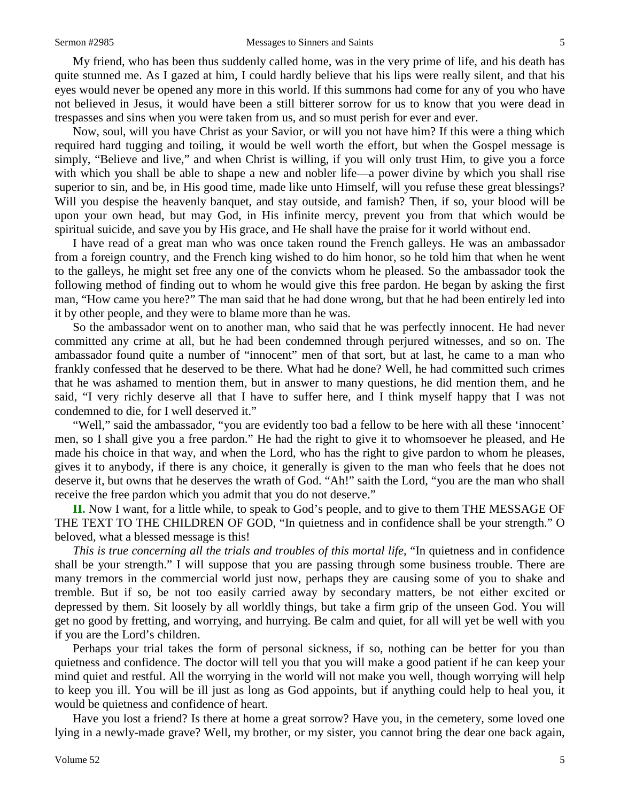My friend, who has been thus suddenly called home, was in the very prime of life, and his death has quite stunned me. As I gazed at him, I could hardly believe that his lips were really silent, and that his eyes would never be opened any more in this world. If this summons had come for any of you who have not believed in Jesus, it would have been a still bitterer sorrow for us to know that you were dead in trespasses and sins when you were taken from us, and so must perish for ever and ever.

Now, soul, will you have Christ as your Savior, or will you not have him? If this were a thing which required hard tugging and toiling, it would be well worth the effort, but when the Gospel message is simply, "Believe and live," and when Christ is willing, if you will only trust Him, to give you a force with which you shall be able to shape a new and nobler life—a power divine by which you shall rise superior to sin, and be, in His good time, made like unto Himself, will you refuse these great blessings? Will you despise the heavenly banquet, and stay outside, and famish? Then, if so, your blood will be upon your own head, but may God, in His infinite mercy, prevent you from that which would be spiritual suicide, and save you by His grace, and He shall have the praise for it world without end.

I have read of a great man who was once taken round the French galleys. He was an ambassador from a foreign country, and the French king wished to do him honor, so he told him that when he went to the galleys, he might set free any one of the convicts whom he pleased. So the ambassador took the following method of finding out to whom he would give this free pardon. He began by asking the first man, "How came you here?" The man said that he had done wrong, but that he had been entirely led into it by other people, and they were to blame more than he was.

So the ambassador went on to another man, who said that he was perfectly innocent. He had never committed any crime at all, but he had been condemned through perjured witnesses, and so on. The ambassador found quite a number of "innocent" men of that sort, but at last, he came to a man who frankly confessed that he deserved to be there. What had he done? Well, he had committed such crimes that he was ashamed to mention them, but in answer to many questions, he did mention them, and he said, "I very richly deserve all that I have to suffer here, and I think myself happy that I was not condemned to die, for I well deserved it."

"Well," said the ambassador, "you are evidently too bad a fellow to be here with all these 'innocent' men, so I shall give you a free pardon." He had the right to give it to whomsoever he pleased, and He made his choice in that way, and when the Lord, who has the right to give pardon to whom he pleases, gives it to anybody, if there is any choice, it generally is given to the man who feels that he does not deserve it, but owns that he deserves the wrath of God. "Ah!" saith the Lord, "you are the man who shall receive the free pardon which you admit that you do not deserve."

**II.** Now I want, for a little while, to speak to God's people, and to give to them THE MESSAGE OF THE TEXT TO THE CHILDREN OF GOD, "In quietness and in confidence shall be your strength." O beloved, what a blessed message is this!

*This is true concerning all the trials and troubles of this mortal life,* "In quietness and in confidence shall be your strength." I will suppose that you are passing through some business trouble. There are many tremors in the commercial world just now, perhaps they are causing some of you to shake and tremble. But if so, be not too easily carried away by secondary matters, be not either excited or depressed by them. Sit loosely by all worldly things, but take a firm grip of the unseen God. You will get no good by fretting, and worrying, and hurrying. Be calm and quiet, for all will yet be well with you if you are the Lord's children.

Perhaps your trial takes the form of personal sickness, if so, nothing can be better for you than quietness and confidence. The doctor will tell you that you will make a good patient if he can keep your mind quiet and restful. All the worrying in the world will not make you well, though worrying will help to keep you ill. You will be ill just as long as God appoints, but if anything could help to heal you, it would be quietness and confidence of heart.

Have you lost a friend? Is there at home a great sorrow? Have you, in the cemetery, some loved one lying in a newly-made grave? Well, my brother, or my sister, you cannot bring the dear one back again,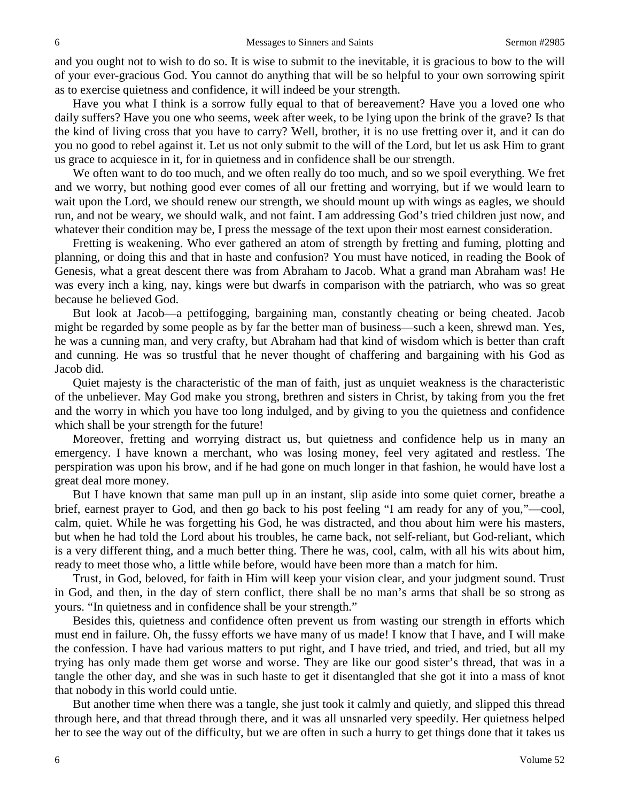and you ought not to wish to do so. It is wise to submit to the inevitable, it is gracious to bow to the will of your ever-gracious God. You cannot do anything that will be so helpful to your own sorrowing spirit as to exercise quietness and confidence, it will indeed be your strength.

Have you what I think is a sorrow fully equal to that of bereavement? Have you a loved one who daily suffers? Have you one who seems, week after week, to be lying upon the brink of the grave? Is that the kind of living cross that you have to carry? Well, brother, it is no use fretting over it, and it can do you no good to rebel against it. Let us not only submit to the will of the Lord, but let us ask Him to grant us grace to acquiesce in it, for in quietness and in confidence shall be our strength.

We often want to do too much, and we often really do too much, and so we spoil everything. We fret and we worry, but nothing good ever comes of all our fretting and worrying, but if we would learn to wait upon the Lord, we should renew our strength, we should mount up with wings as eagles, we should run, and not be weary, we should walk, and not faint. I am addressing God's tried children just now, and whatever their condition may be, I press the message of the text upon their most earnest consideration.

Fretting is weakening. Who ever gathered an atom of strength by fretting and fuming, plotting and planning, or doing this and that in haste and confusion? You must have noticed, in reading the Book of Genesis, what a great descent there was from Abraham to Jacob. What a grand man Abraham was! He was every inch a king, nay, kings were but dwarfs in comparison with the patriarch, who was so great because he believed God.

But look at Jacob—a pettifogging, bargaining man, constantly cheating or being cheated. Jacob might be regarded by some people as by far the better man of business—such a keen, shrewd man. Yes, he was a cunning man, and very crafty, but Abraham had that kind of wisdom which is better than craft and cunning. He was so trustful that he never thought of chaffering and bargaining with his God as Jacob did.

Quiet majesty is the characteristic of the man of faith, just as unquiet weakness is the characteristic of the unbeliever. May God make you strong, brethren and sisters in Christ, by taking from you the fret and the worry in which you have too long indulged, and by giving to you the quietness and confidence which shall be your strength for the future!

Moreover, fretting and worrying distract us, but quietness and confidence help us in many an emergency. I have known a merchant, who was losing money, feel very agitated and restless. The perspiration was upon his brow, and if he had gone on much longer in that fashion, he would have lost a great deal more money.

But I have known that same man pull up in an instant, slip aside into some quiet corner, breathe a brief, earnest prayer to God, and then go back to his post feeling "I am ready for any of you,"—cool, calm, quiet. While he was forgetting his God, he was distracted, and thou about him were his masters, but when he had told the Lord about his troubles, he came back, not self-reliant, but God-reliant, which is a very different thing, and a much better thing. There he was, cool, calm, with all his wits about him, ready to meet those who, a little while before, would have been more than a match for him.

Trust, in God, beloved, for faith in Him will keep your vision clear, and your judgment sound. Trust in God, and then, in the day of stern conflict, there shall be no man's arms that shall be so strong as yours. "In quietness and in confidence shall be your strength."

Besides this, quietness and confidence often prevent us from wasting our strength in efforts which must end in failure. Oh, the fussy efforts we have many of us made! I know that I have, and I will make the confession. I have had various matters to put right, and I have tried, and tried, and tried, but all my trying has only made them get worse and worse. They are like our good sister's thread, that was in a tangle the other day, and she was in such haste to get it disentangled that she got it into a mass of knot that nobody in this world could untie.

But another time when there was a tangle, she just took it calmly and quietly, and slipped this thread through here, and that thread through there, and it was all unsnarled very speedily. Her quietness helped her to see the way out of the difficulty, but we are often in such a hurry to get things done that it takes us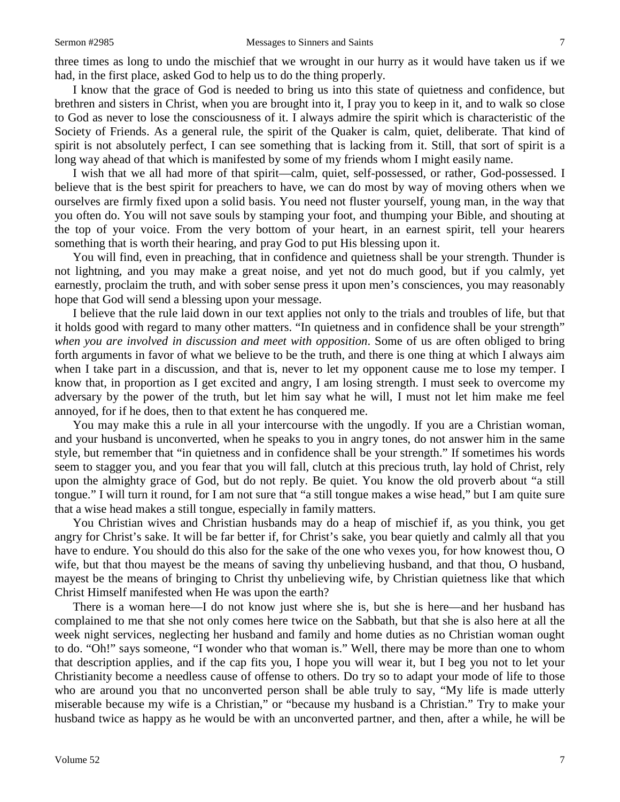three times as long to undo the mischief that we wrought in our hurry as it would have taken us if we had, in the first place, asked God to help us to do the thing properly.

I know that the grace of God is needed to bring us into this state of quietness and confidence, but brethren and sisters in Christ, when you are brought into it, I pray you to keep in it, and to walk so close to God as never to lose the consciousness of it. I always admire the spirit which is characteristic of the Society of Friends. As a general rule, the spirit of the Quaker is calm, quiet, deliberate. That kind of spirit is not absolutely perfect, I can see something that is lacking from it. Still, that sort of spirit is a long way ahead of that which is manifested by some of my friends whom I might easily name.

I wish that we all had more of that spirit—calm, quiet, self-possessed, or rather, God-possessed. I believe that is the best spirit for preachers to have, we can do most by way of moving others when we ourselves are firmly fixed upon a solid basis. You need not fluster yourself, young man, in the way that you often do. You will not save souls by stamping your foot, and thumping your Bible, and shouting at the top of your voice. From the very bottom of your heart, in an earnest spirit, tell your hearers something that is worth their hearing, and pray God to put His blessing upon it.

You will find, even in preaching, that in confidence and quietness shall be your strength. Thunder is not lightning, and you may make a great noise, and yet not do much good, but if you calmly, yet earnestly, proclaim the truth, and with sober sense press it upon men's consciences, you may reasonably hope that God will send a blessing upon your message.

I believe that the rule laid down in our text applies not only to the trials and troubles of life, but that it holds good with regard to many other matters. "In quietness and in confidence shall be your strength" *when you are involved in discussion and meet with opposition*. Some of us are often obliged to bring forth arguments in favor of what we believe to be the truth, and there is one thing at which I always aim when I take part in a discussion, and that is, never to let my opponent cause me to lose my temper. I know that, in proportion as I get excited and angry, I am losing strength. I must seek to overcome my adversary by the power of the truth, but let him say what he will, I must not let him make me feel annoyed, for if he does, then to that extent he has conquered me.

You may make this a rule in all your intercourse with the ungodly. If you are a Christian woman, and your husband is unconverted, when he speaks to you in angry tones, do not answer him in the same style, but remember that "in quietness and in confidence shall be your strength." If sometimes his words seem to stagger you, and you fear that you will fall, clutch at this precious truth, lay hold of Christ, rely upon the almighty grace of God, but do not reply. Be quiet. You know the old proverb about "a still tongue." I will turn it round, for I am not sure that "a still tongue makes a wise head," but I am quite sure that a wise head makes a still tongue, especially in family matters.

You Christian wives and Christian husbands may do a heap of mischief if, as you think, you get angry for Christ's sake. It will be far better if, for Christ's sake, you bear quietly and calmly all that you have to endure. You should do this also for the sake of the one who vexes you, for how knowest thou, O wife, but that thou mayest be the means of saving thy unbelieving husband, and that thou, O husband, mayest be the means of bringing to Christ thy unbelieving wife, by Christian quietness like that which Christ Himself manifested when He was upon the earth?

There is a woman here—I do not know just where she is, but she is here—and her husband has complained to me that she not only comes here twice on the Sabbath, but that she is also here at all the week night services, neglecting her husband and family and home duties as no Christian woman ought to do. "Oh!" says someone, "I wonder who that woman is." Well, there may be more than one to whom that description applies, and if the cap fits you, I hope you will wear it, but I beg you not to let your Christianity become a needless cause of offense to others. Do try so to adapt your mode of life to those who are around you that no unconverted person shall be able truly to say, "My life is made utterly miserable because my wife is a Christian," or "because my husband is a Christian." Try to make your husband twice as happy as he would be with an unconverted partner, and then, after a while, he will be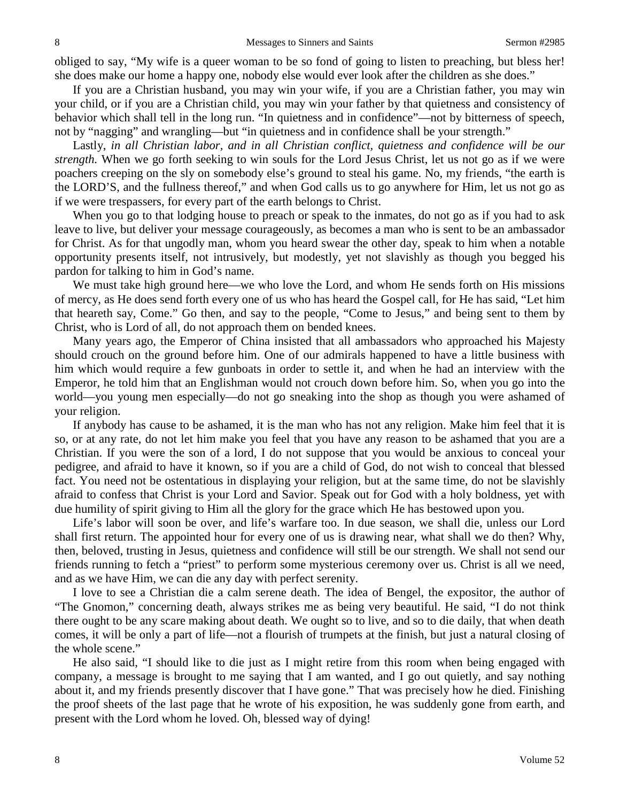obliged to say, "My wife is a queer woman to be so fond of going to listen to preaching, but bless her! she does make our home a happy one, nobody else would ever look after the children as she does."

If you are a Christian husband, you may win your wife, if you are a Christian father, you may win your child, or if you are a Christian child, you may win your father by that quietness and consistency of behavior which shall tell in the long run. "In quietness and in confidence"—not by bitterness of speech, not by "nagging" and wrangling—but "in quietness and in confidence shall be your strength."

Lastly, *in all Christian labor, and in all Christian conflict, quietness and confidence will be our strength.* When we go forth seeking to win souls for the Lord Jesus Christ, let us not go as if we were poachers creeping on the sly on somebody else's ground to steal his game. No, my friends, "the earth is the LORD'S, and the fullness thereof," and when God calls us to go anywhere for Him, let us not go as if we were trespassers, for every part of the earth belongs to Christ.

When you go to that lodging house to preach or speak to the inmates, do not go as if you had to ask leave to live, but deliver your message courageously, as becomes a man who is sent to be an ambassador for Christ. As for that ungodly man, whom you heard swear the other day, speak to him when a notable opportunity presents itself, not intrusively, but modestly, yet not slavishly as though you begged his pardon for talking to him in God's name.

We must take high ground here—we who love the Lord, and whom He sends forth on His missions of mercy, as He does send forth every one of us who has heard the Gospel call, for He has said, "Let him that heareth say, Come." Go then, and say to the people, "Come to Jesus," and being sent to them by Christ, who is Lord of all, do not approach them on bended knees.

Many years ago, the Emperor of China insisted that all ambassadors who approached his Majesty should crouch on the ground before him. One of our admirals happened to have a little business with him which would require a few gunboats in order to settle it, and when he had an interview with the Emperor, he told him that an Englishman would not crouch down before him. So, when you go into the world—you young men especially—do not go sneaking into the shop as though you were ashamed of your religion.

If anybody has cause to be ashamed, it is the man who has not any religion. Make him feel that it is so, or at any rate, do not let him make you feel that you have any reason to be ashamed that you are a Christian. If you were the son of a lord, I do not suppose that you would be anxious to conceal your pedigree, and afraid to have it known, so if you are a child of God, do not wish to conceal that blessed fact. You need not be ostentatious in displaying your religion, but at the same time, do not be slavishly afraid to confess that Christ is your Lord and Savior. Speak out for God with a holy boldness, yet with due humility of spirit giving to Him all the glory for the grace which He has bestowed upon you.

Life's labor will soon be over, and life's warfare too. In due season, we shall die, unless our Lord shall first return. The appointed hour for every one of us is drawing near, what shall we do then? Why, then, beloved, trusting in Jesus, quietness and confidence will still be our strength. We shall not send our friends running to fetch a "priest" to perform some mysterious ceremony over us. Christ is all we need, and as we have Him, we can die any day with perfect serenity.

I love to see a Christian die a calm serene death. The idea of Bengel, the expositor, the author of "The Gnomon," concerning death, always strikes me as being very beautiful. He said, "I do not think there ought to be any scare making about death. We ought so to live, and so to die daily, that when death comes, it will be only a part of life—not a flourish of trumpets at the finish, but just a natural closing of the whole scene."

He also said, "I should like to die just as I might retire from this room when being engaged with company, a message is brought to me saying that I am wanted, and I go out quietly, and say nothing about it, and my friends presently discover that I have gone." That was precisely how he died. Finishing the proof sheets of the last page that he wrote of his exposition, he was suddenly gone from earth, and present with the Lord whom he loved. Oh, blessed way of dying!